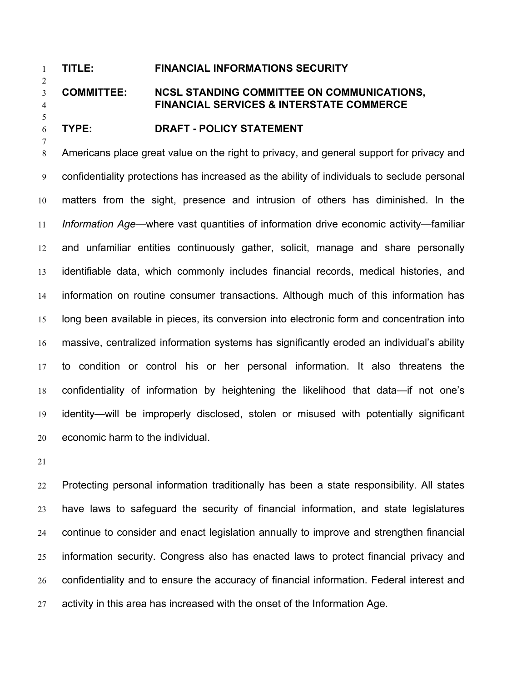# **TITLE: FINANCIAL INFORMATIONS SECURITY**

# **COMMITTEE: NCSL STANDING COMMITTEE ON COMMUNICATIONS, FINANCIAL SERVICES & INTERSTATE COMMERCE**

## **TYPE: DRAFT - POLICY STATEMENT**

Americans place great value on the right to privacy, and general support for privacy and confidentiality protections has increased as the ability of individuals to seclude personal matters from the sight, presence and intrusion of others has diminished. In the *Information Age—*where vast quantities of information drive economic activity—familiar and unfamiliar entities continuously gather, solicit, manage and share personally identifiable data, which commonly includes financial records, medical histories, and information on routine consumer transactions. Although much of this information has long been available in pieces, its conversion into electronic form and concentration into massive, centralized information systems has significantly eroded an individual's ability to condition or control his or her personal information. It also threatens the confidentiality of information by heightening the likelihood that data—if not one's identity—will be improperly disclosed, stolen or misused with potentially significant economic harm to the individual.

Protecting personal information traditionally has been a state responsibility. All states have laws to safeguard the security of financial information, and state legislatures continue to consider and enact legislation annually to improve and strengthen financial information security. Congress also has enacted laws to protect financial privacy and confidentiality and to ensure the accuracy of financial information. Federal interest and activity in this area has increased with the onset of the Information Age.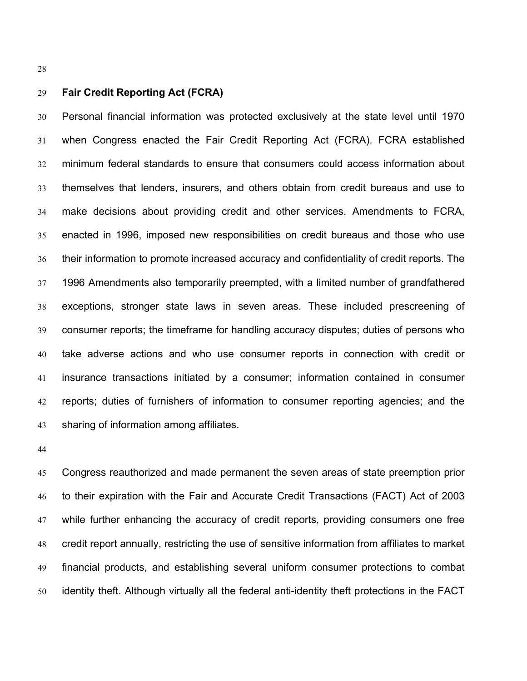# **Fair Credit Reporting Act (FCRA)**

Personal financial information was protected exclusively at the state level until 1970 when Congress enacted the Fair Credit Reporting Act (FCRA). FCRA established minimum federal standards to ensure that consumers could access information about themselves that lenders, insurers, and others obtain from credit bureaus and use to make decisions about providing credit and other services. Amendments to FCRA, enacted in 1996, imposed new responsibilities on credit bureaus and those who use their information to promote increased accuracy and confidentiality of credit reports. The 1996 Amendments also temporarily preempted, with a limited number of grandfathered exceptions, stronger state laws in seven areas. These included prescreening of consumer reports; the timeframe for handling accuracy disputes; duties of persons who take adverse actions and who use consumer reports in connection with credit or insurance transactions initiated by a consumer; information contained in consumer reports; duties of furnishers of information to consumer reporting agencies; and the sharing of information among affiliates.

Congress reauthorized and made permanent the seven areas of state preemption prior to their expiration with the Fair and Accurate Credit Transactions (FACT) Act of 2003 while further enhancing the accuracy of credit reports, providing consumers one free credit report annually, restricting the use of sensitive information from affiliates to market financial products, and establishing several uniform consumer protections to combat identity theft. Although virtually all the federal anti-identity theft protections in the FACT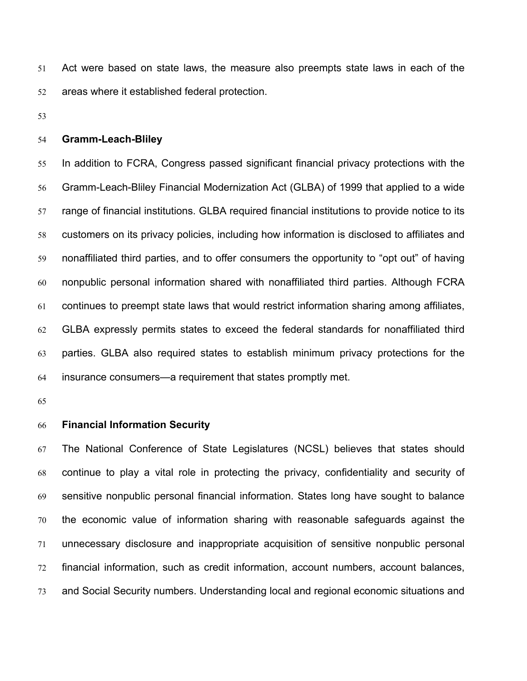Act were based on state laws, the measure also preempts state laws in each of the areas where it established federal protection.

#### **Gramm-Leach-Bliley**

In addition to FCRA, Congress passed significant financial privacy protections with the Gramm-Leach-Bliley Financial Modernization Act (GLBA) of 1999 that applied to a wide range of financial institutions. GLBA required financial institutions to provide notice to its customers on its privacy policies, including how information is disclosed to affiliates and nonaffiliated third parties, and to offer consumers the opportunity to "opt out" of having nonpublic personal information shared with nonaffiliated third parties. Although FCRA continues to preempt state laws that would restrict information sharing among affiliates, GLBA expressly permits states to exceed the federal standards for nonaffiliated third parties. GLBA also required states to establish minimum privacy protections for the insurance consumers—a requirement that states promptly met.

#### **Financial Information Security**

The National Conference of State Legislatures (NCSL) believes that states should continue to play a vital role in protecting the privacy, confidentiality and security of sensitive nonpublic personal financial information. States long have sought to balance the economic value of information sharing with reasonable safeguards against the unnecessary disclosure and inappropriate acquisition of sensitive nonpublic personal financial information, such as credit information, account numbers, account balances, and Social Security numbers. Understanding local and regional economic situations and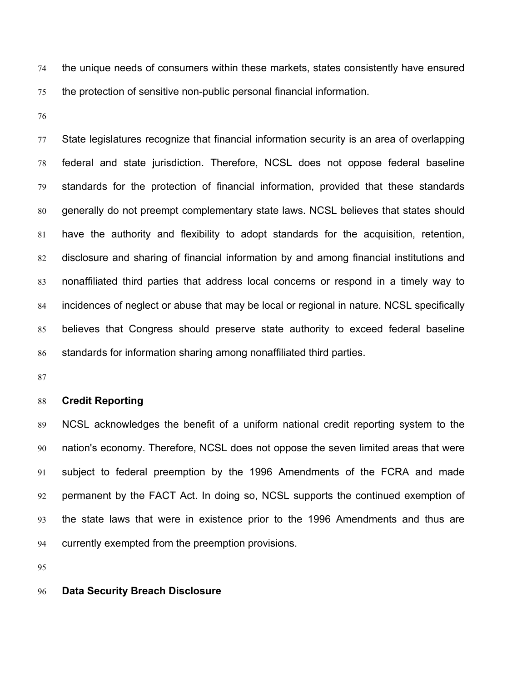the unique needs of consumers within these markets, states consistently have ensured the protection of sensitive non-public personal financial information.

State legislatures recognize that financial information security is an area of overlapping federal and state jurisdiction. Therefore, NCSL does not oppose federal baseline standards for the protection of financial information, provided that these standards generally do not preempt complementary state laws. NCSL believes that states should have the authority and flexibility to adopt standards for the acquisition, retention, disclosure and sharing of financial information by and among financial institutions and nonaffiliated third parties that address local concerns or respond in a timely way to incidences of neglect or abuse that may be local or regional in nature. NCSL specifically believes that Congress should preserve state authority to exceed federal baseline standards for information sharing among nonaffiliated third parties.

#### **Credit Reporting**

NCSL acknowledges the benefit of a uniform national credit reporting system to the nation's economy. Therefore, NCSL does not oppose the seven limited areas that were subject to federal preemption by the 1996 Amendments of the FCRA and made permanent by the FACT Act. In doing so, NCSL supports the continued exemption of the state laws that were in existence prior to the 1996 Amendments and thus are currently exempted from the preemption provisions.

## **Data Security Breach Disclosure**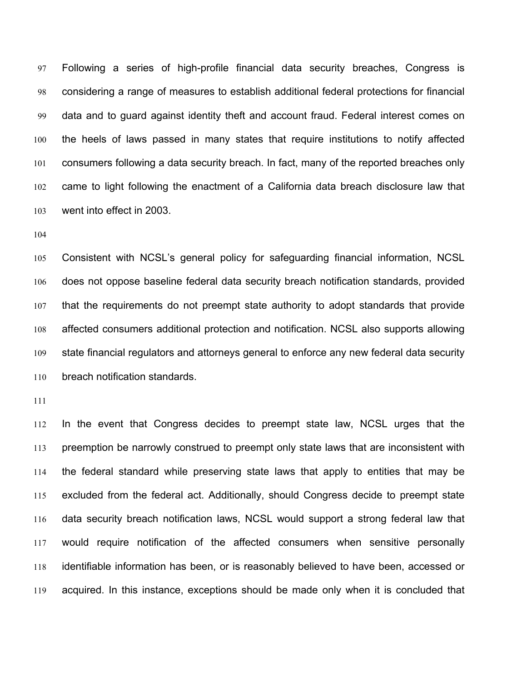Following a series of high-profile financial data security breaches, Congress is considering a range of measures to establish additional federal protections for financial data and to guard against identity theft and account fraud. Federal interest comes on the heels of laws passed in many states that require institutions to notify affected consumers following a data security breach. In fact, many of the reported breaches only came to light following the enactment of a California data breach disclosure law that went into effect in 2003.

Consistent with NCSL's general policy for safeguarding financial information, NCSL does not oppose baseline federal data security breach notification standards, provided that the requirements do not preempt state authority to adopt standards that provide affected consumers additional protection and notification. NCSL also supports allowing state financial regulators and attorneys general to enforce any new federal data security breach notification standards.

In the event that Congress decides to preempt state law, NCSL urges that the preemption be narrowly construed to preempt only state laws that are inconsistent with the federal standard while preserving state laws that apply to entities that may be excluded from the federal act. Additionally, should Congress decide to preempt state data security breach notification laws, NCSL would support a strong federal law that would require notification of the affected consumers when sensitive personally identifiable information has been, or is reasonably believed to have been, accessed or acquired. In this instance, exceptions should be made only when it is concluded that